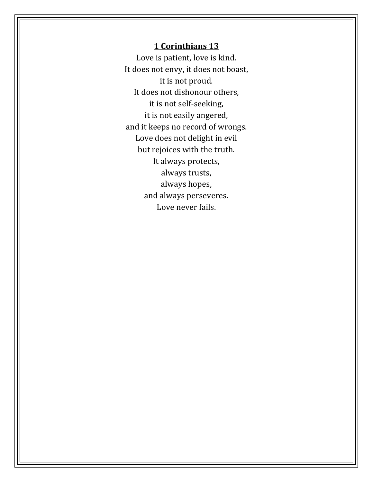## **1 Corinthians 13**

Love is patient, love is kind. It does not envy, it does not boast, it is not proud. It does not dishonour others, it is not self-seeking, it is not easily angered, and it keeps no record of wrongs. Love does not delight in evil but rejoices with the truth. It always protects, always trusts, always hopes, and always perseveres. Love never fails.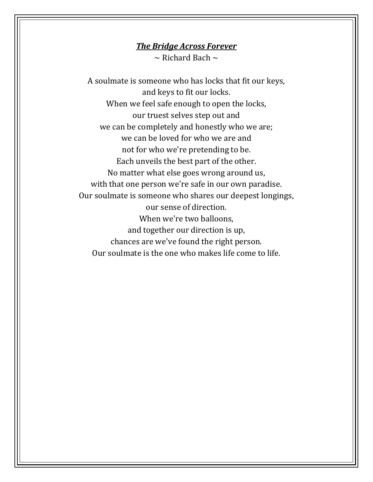## *The Bridge Across Forever*

 $\sim$  Richard Bach  $\sim$ 

A soulmate is someone who has locks that fit our keys, and keys to fit our locks. When we feel safe enough to open the locks, our truest selves step out and we can be completely and honestly who we are; we can be loved for who we are and not for who we're pretending to be. Each unveils the best part of the other. No matter what else goes wrong around us, with that one person we're safe in our own paradise. Our soulmate is someone who shares our deepest longings, our sense of direction. When we're two balloons, and together our direction is up, chances are we've found the right person. Our soulmate is the one who makes life come to life.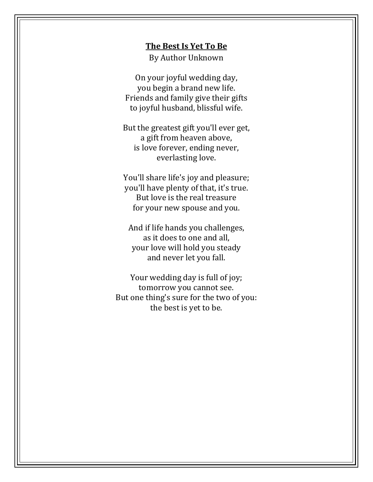#### **The Best Is Yet To Be**

By Author Unknown

On your joyful wedding day, you begin a brand new life. Friends and family give their gifts to joyful husband, blissful wife.

But the greatest gift you'll ever get, a gift from heaven above, is love forever, ending never, everlasting love.

You'll share life's joy and pleasure; you'll have plenty of that, it's true. But love is the real treasure for your new spouse and you.

And if life hands you challenges, as it does to one and all, your love will hold you steady and never let you fall.

Your wedding day is full of joy; tomorrow you cannot see. But one thing's sure for the two of you: the best is yet to be.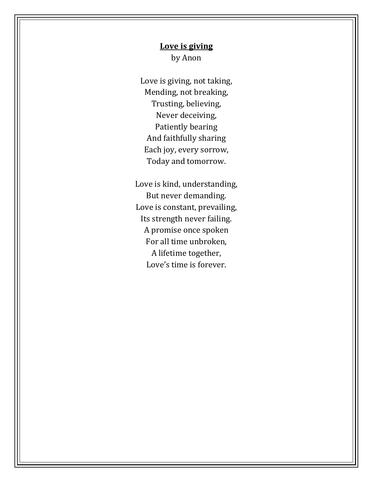# **Love is giving** by Anon

Love is giving, not taking, Mending, not breaking, Trusting, believing, Never deceiving, Patiently bearing And faithfully sharing Each joy, every sorrow, Today and tomorrow.

Love is kind, understanding, But never demanding. Love is constant, prevailing, Its strength never failing. A promise once spoken For all time unbroken, A lifetime together, Love's time is forever.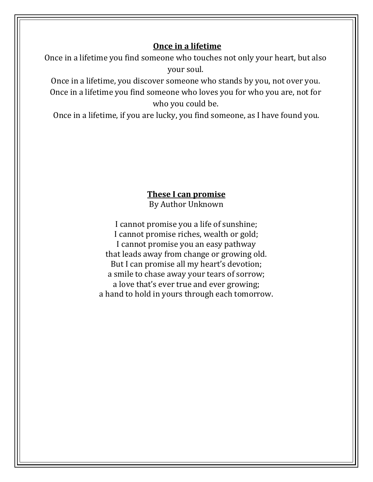# **Once in a lifetime**

Once in a lifetime you find someone who touches not only your heart, but also your soul.

Once in a lifetime, you discover someone who stands by you, not over you. Once in a lifetime you find someone who loves you for who you are, not for who you could be.

Once in a lifetime, if you are lucky, you find someone, as I have found you.

### **These I can promise** By Author Unknown

I cannot promise you a life of sunshine; I cannot promise riches, wealth or gold; I cannot promise you an easy pathway that leads away from change or growing old. But I can promise all my heart's devotion; a smile to chase away your tears of sorrow; a love that's ever true and ever growing; a hand to hold in yours through each tomorrow.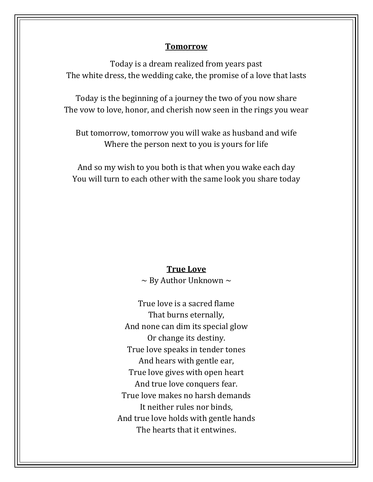#### **Tomorrow**

Today is a dream realized from years past The white dress, the wedding cake, the promise of a love that lasts

Today is the beginning of a journey the two of you now share The vow to love, honor, and cherish now seen in the rings you wear

But tomorrow, tomorrow you will wake as husband and wife Where the person next to you is yours for life

And so my wish to you both is that when you wake each day You will turn to each other with the same look you share today

# **True Love**

 $\sim$  By Author Unknown  $\sim$ 

True love is a sacred flame That burns eternally, And none can dim its special glow Or change its destiny. True love speaks in tender tones And hears with gentle ear, True love gives with open heart And true love conquers fear. True love makes no harsh demands It neither rules nor binds, And true love holds with gentle hands The hearts that it entwines.